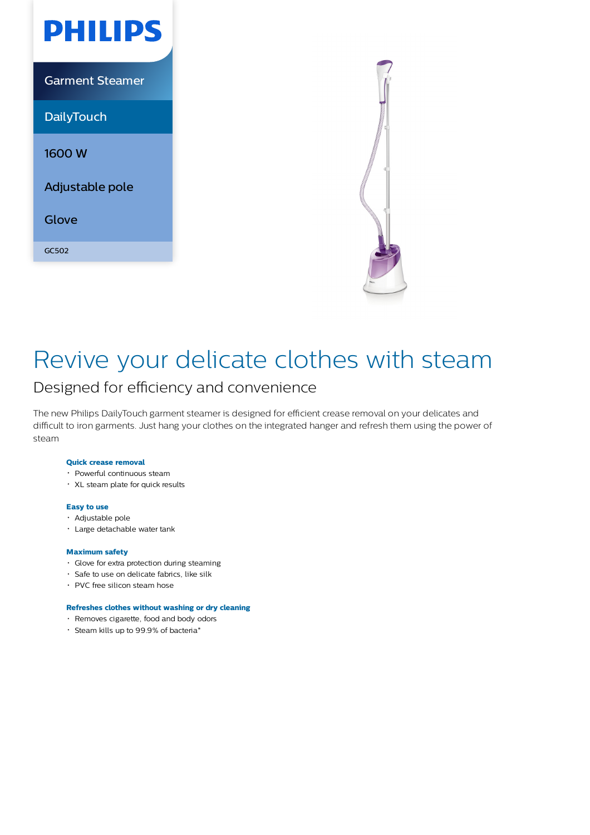



## Revive your delicate clothes with steam

### Designed for efficiency and convenience

The new Philips DailyTouch garment steamer is designed for efficient crease removal on your delicates and difficult to iron garments. Just hang your clothes on the integrated hanger and refresh them using the power of steam

#### **Quick crease removal**

- Powerful continuous steam
- XL steam plate for quick results

#### **Easy to use**

- Adjustable pole
- Large detachable water tank

#### **Maximum safety**

- Glove for extra protection during steaming
- Safe to use on delicate fabrics, like silk
- PVC free silicon steam hose

#### **Refreshes clothes without washing or dry cleaning**

- Removes cigarette, food and body odors
- Steam kills up to 99.9% of bacteria\*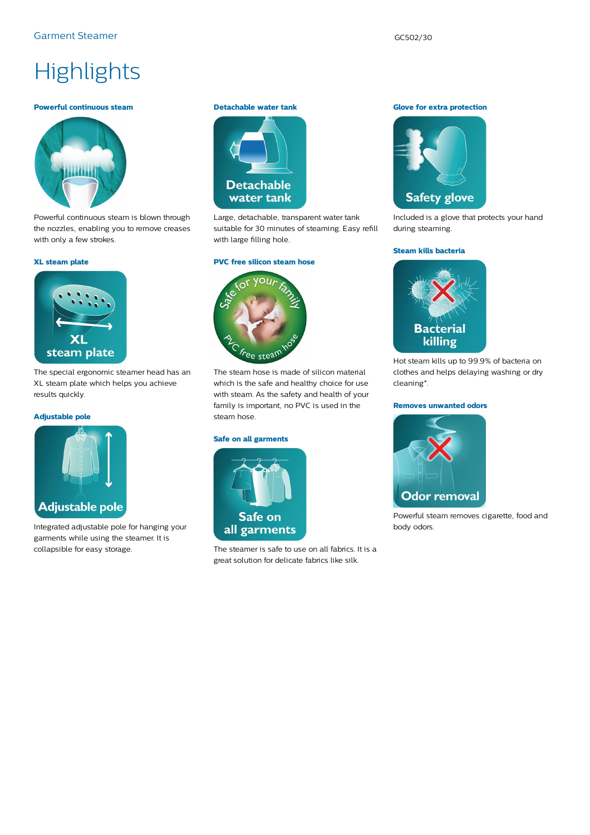# **Highlights**

#### **Powerful continuous steam**



Powerful continuous steam is blown through the nozzles, enabling you to remove creases with only a few strokes.

#### **XL steam plate**



The special ergonomic steamer head has an XL steam plate which helps you achieve results quickly.

#### **Adjustable pole**



Integrated adjustable pole for hanging your garments while using the steamer. It is collapsible for easy storage.

#### **Detachable water tank**



Large, detachable, transparent water tank suitable for 30 minutes of steaming. Easy refill with large filling hole.

#### **PVC free silicon steam hose**



The steam hose is made of silicon material which is the safe and healthy choice for use with steam. As the safety and health of your family is important, no PVC is used in the steam hose.

#### **Safe on all garments**



The steamer is safe to use on all fabrics. It is a great solution for delicate fabrics like silk.

#### **Glove for extra protection**



Included is a glove that protects your hand during steaming.

#### **Steam kills bacteria**



Hot steam kills up to 99.9% of bacteria on clothes and helps delaying washing or dry cleaning\*.

#### **Removes unwanted odors**



Powerful steam removes cigarette, food and body odors.